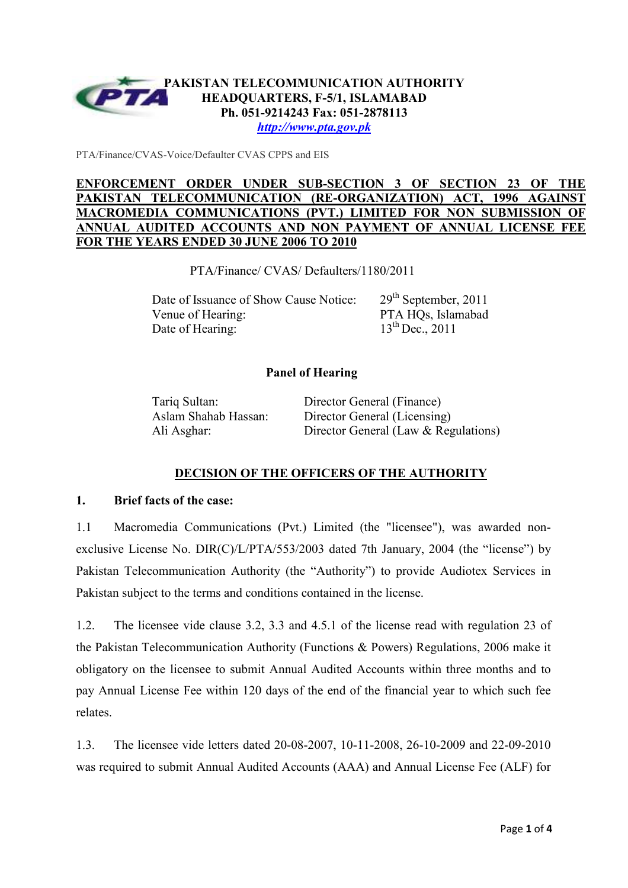

*http://www.pta.gov.pk*

PTA/Finance/CVAS-Voice/Defaulter CVAS CPPS and EIS

## **ENFORCEMENT ORDER UNDER SUB-SECTION 3 OF SECTION 23 OF THE PAKISTAN TELECOMMUNICATION (RE-ORGANIZATION) ACT, 1996 AGAINST MACROMEDIA COMMUNICATIONS (PVT.) LIMITED FOR NON SUBMISSION ANNUAL AUDITED ACCOUNTS AND NON PAYMENT OF ANNUAL LICENSE FEE FOR THE YEARS ENDED 30 JUNE 2006 TO 2010**

PTA/Finance/ CVAS/ Defaulters/1180/2011

Date of Issuance of Show Cause Notice: 29<sup>th</sup> September, 2011 Venue of Hearing: PTA HOs, Islamabad Date of Hearing:  $13^{th}$  Dec., 2011

## **Panel of Hearing**

Tariq Sultan: Director General (Finance) Aslam Shahab Hassan: Director General (Licensing) Ali Asghar: Director General (Law & Regulations)

# **DECISION OF THE OFFICERS OF THE AUTHORITY**

### **1. Brief facts of the case:**

1.1 Macromedia Communications (Pvt.) Limited (the "licensee"), was awarded nonexclusive License No. DIR(C)/L/PTA/553/2003 dated 7th January, 2004 (the "license") by Pakistan Telecommunication Authority (the "Authority") to provide Audiotex Services in Pakistan subject to the terms and conditions contained in the license.

1.2. The licensee vide clause 3.2, 3.3 and 4.5.1 of the license read with regulation 23 of the Pakistan Telecommunication Authority (Functions & Powers) Regulations, 2006 make it obligatory on the licensee to submit Annual Audited Accounts within three months and to pay Annual License Fee within 120 days of the end of the financial year to which such fee relates.

1.3. The licensee vide letters dated 20-08-2007, 10-11-2008, 26-10-2009 and 22-09-2010 was required to submit Annual Audited Accounts (AAA) and Annual License Fee (ALF) for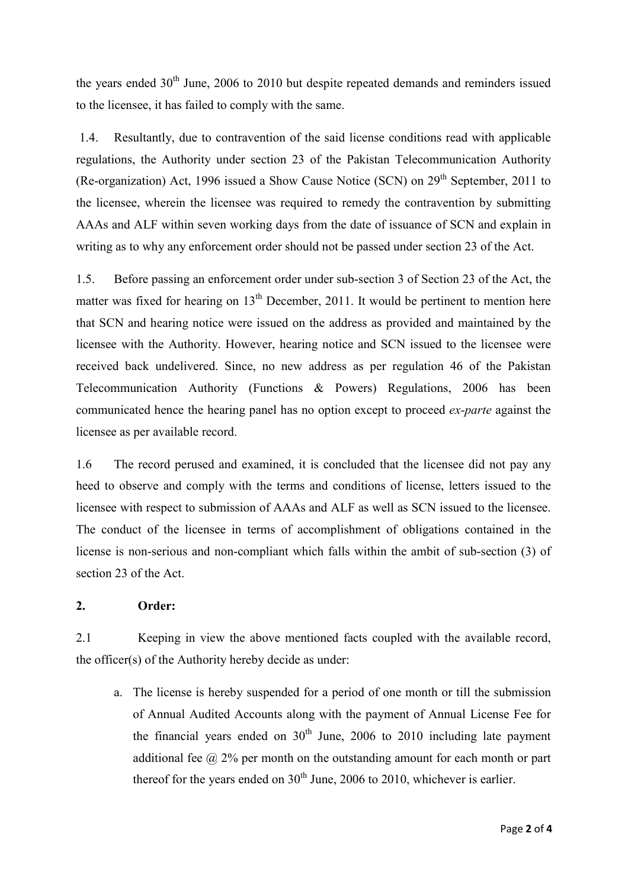the years ended  $30<sup>th</sup>$  June, 2006 to 2010 but despite repeated demands and reminders issued to the licensee, it has failed to comply with the same.

 1.4. Resultantly, due to contravention of the said license conditions read with applicable regulations, the Authority under section 23 of the Pakistan Telecommunication Authority (Re-organization) Act, 1996 issued a Show Cause Notice (SCN) on  $29<sup>th</sup>$  September, 2011 to the licensee, wherein the licensee was required to remedy the contravention by submitting AAAs and ALF within seven working days from the date of issuance of SCN and explain in writing as to why any enforcement order should not be passed under section 23 of the Act.

1.5. Before passing an enforcement order under sub-section 3 of Section 23 of the Act, the matter was fixed for hearing on  $13<sup>th</sup>$  December, 2011. It would be pertinent to mention here that SCN and hearing notice were issued on the address as provided and maintained by the licensee with the Authority. However, hearing notice and SCN issued to the licensee were received back undelivered. Since, no new address as per regulation 46 of the Pakistan Telecommunication Authority (Functions & Powers) Regulations, 2006 has been communicated hence the hearing panel has no option except to proceed *ex-parte* against the licensee as per available record.

1.6 The record perused and examined, it is concluded that the licensee did not pay any heed to observe and comply with the terms and conditions of license, letters issued to the licensee with respect to submission of AAAs and ALF as well as SCN issued to the licensee. The conduct of the licensee in terms of accomplishment of obligations contained in the license is non-serious and non-compliant which falls within the ambit of sub-section (3) of section 23 of the Act.

### **2. Order:**

2.1 Keeping in view the above mentioned facts coupled with the available record, the officer(s) of the Authority hereby decide as under:

a. The license is hereby suspended for a period of one month or till the submission of Annual Audited Accounts along with the payment of Annual License Fee for the financial years ended on  $30<sup>th</sup>$  June, 2006 to 2010 including late payment additional fee  $\omega$  2% per month on the outstanding amount for each month or part thereof for the years ended on  $30<sup>th</sup>$  June, 2006 to 2010, whichever is earlier.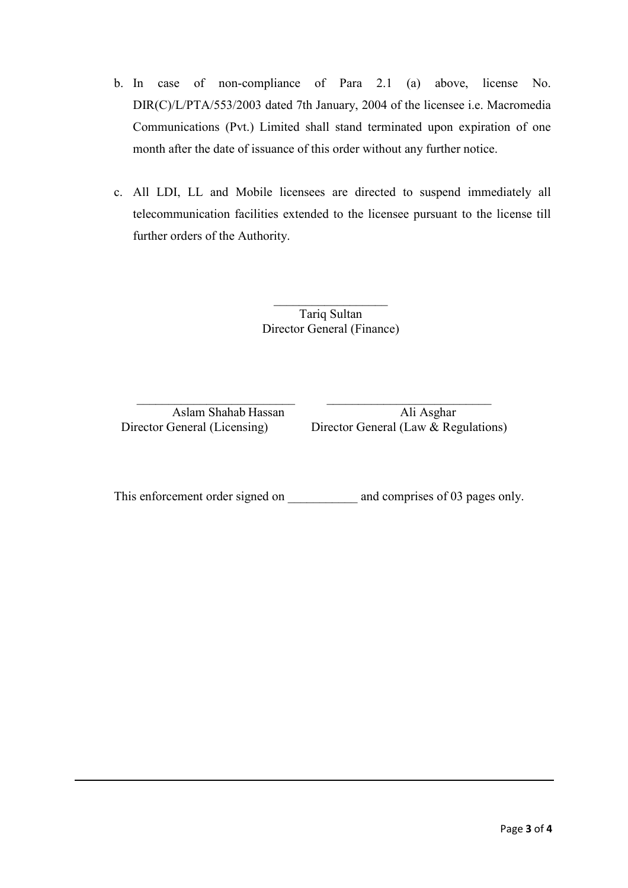- b. In case of non-compliance of Para 2.1 (a) above, license No. DIR(C)/L/PTA/553/2003 dated 7th January, 2004 of the licensee i.e. Macromedia Communications (Pvt.) Limited shall stand terminated upon expiration of one month after the date of issuance of this order without any further notice.
- c. All LDI, LL and Mobile licensees are directed to suspend immediately all telecommunication facilities extended to the licensee pursuant to the license till further orders of the Authority.

Tariq Sultan Director General (Finance)

 $\frac{1}{2}$  ,  $\frac{1}{2}$  ,  $\frac{1}{2}$  ,  $\frac{1}{2}$  ,  $\frac{1}{2}$  ,  $\frac{1}{2}$  ,  $\frac{1}{2}$  ,  $\frac{1}{2}$  ,  $\frac{1}{2}$  ,  $\frac{1}{2}$ 

Aslam Shahab Hassan Ali Asghar Director General (Licensing) Director General (Law  $\&$  Regulations)

This enforcement order signed on \_\_\_\_\_\_\_\_\_\_\_\_ and comprises of 03 pages only.

 $\_$  , and the set of the set of the set of the set of the set of the set of the set of the set of the set of the set of the set of the set of the set of the set of the set of the set of the set of the set of the set of th